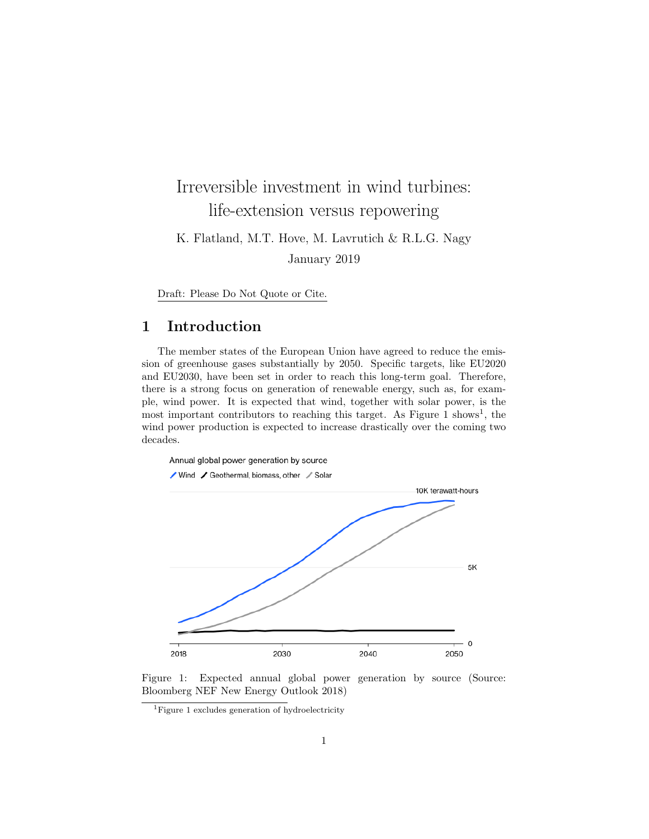# Irreversible investment in wind turbines: life-extension versus repowering

K. Flatland, M.T. Hove, M. Lavrutich & R.L.G. Nagy January 2019

Draft: Please Do Not Quote or Cite.

# 1 Introduction

The member states of the European Union have agreed to reduce the emission of greenhouse gases substantially by 2050. Specific targets, like EU2020 and EU2030, have been set in order to reach this long-term goal. Therefore, there is a strong focus on generation of renewable energy, such as, for example, wind power. It is expected that wind, together with solar power, is the most important contributors to reaching this target. As Figure  $1 \text{ shows}^1$ , the wind power production is expected to increase drastically over the coming two decades.



Figure 1: Expected annual global power generation by source (Source: Bloomberg NEF New Energy Outlook 2018)

<sup>1</sup>Figure 1 excludes generation of hydroelectricity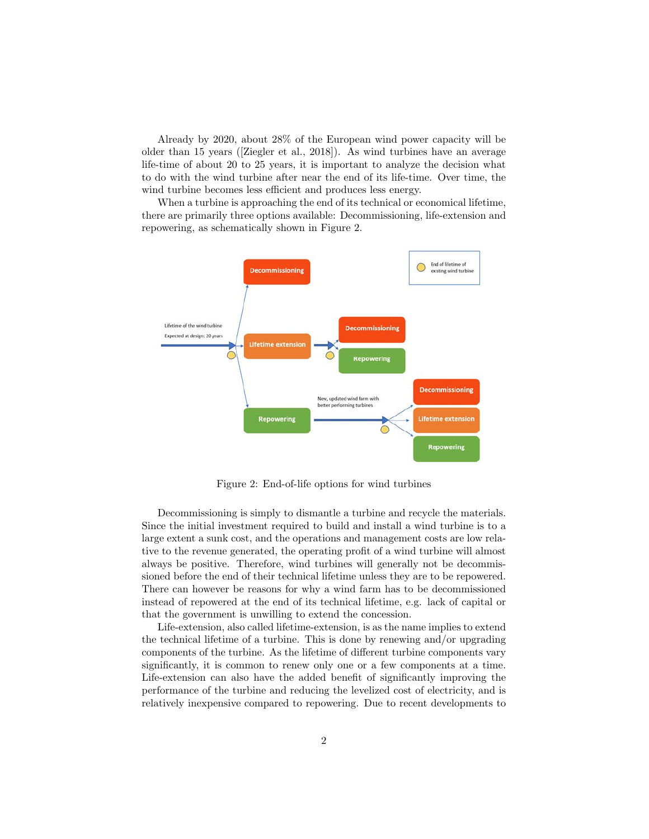Already by 2020, about 28% of the European wind power capacity will be older than 15 years ([Ziegler et al., 2018]). As wind turbines have an average life-time of about 20 to 25 years, it is important to analyze the decision what to do with the wind turbine after near the end of its life-time. Over time, the wind turbine becomes less efficient and produces less energy.

When a turbine is approaching the end of its technical or economical lifetime, there are primarily three options available: Decommissioning, life-extension and repowering, as schematically shown in Figure 2.



Figure 2: End-of-life options for wind turbines

Decommissioning is simply to dismantle a turbine and recycle the materials. Since the initial investment required to build and install a wind turbine is to a large extent a sunk cost, and the operations and management costs are low relative to the revenue generated, the operating profit of a wind turbine will almost always be positive. Therefore, wind turbines will generally not be decommissioned before the end of their technical lifetime unless they are to be repowered. There can however be reasons for why a wind farm has to be decommissioned instead of repowered at the end of its technical lifetime, e.g. lack of capital or that the government is unwilling to extend the concession.

Life-extension, also called lifetime-extension, is as the name implies to extend the technical lifetime of a turbine. This is done by renewing and/or upgrading components of the turbine. As the lifetime of different turbine components vary significantly, it is common to renew only one or a few components at a time. Life-extension can also have the added benefit of significantly improving the performance of the turbine and reducing the levelized cost of electricity, and is relatively inexpensive compared to repowering. Due to recent developments to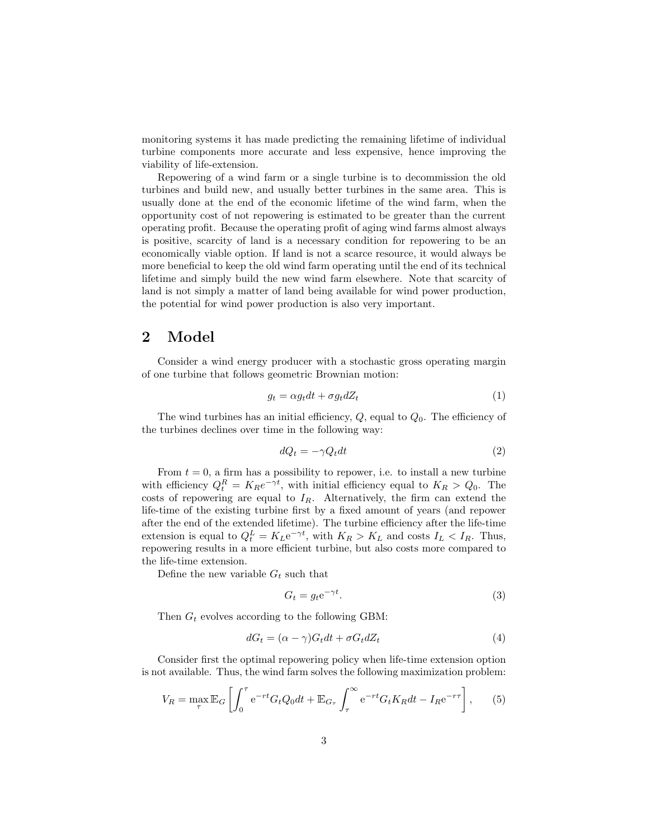monitoring systems it has made predicting the remaining lifetime of individual turbine components more accurate and less expensive, hence improving the viability of life-extension.

Repowering of a wind farm or a single turbine is to decommission the old turbines and build new, and usually better turbines in the same area. This is usually done at the end of the economic lifetime of the wind farm, when the opportunity cost of not repowering is estimated to be greater than the current operating profit. Because the operating profit of aging wind farms almost always is positive, scarcity of land is a necessary condition for repowering to be an economically viable option. If land is not a scarce resource, it would always be more beneficial to keep the old wind farm operating until the end of its technical lifetime and simply build the new wind farm elsewhere. Note that scarcity of land is not simply a matter of land being available for wind power production, the potential for wind power production is also very important.

## 2 Model

Consider a wind energy producer with a stochastic gross operating margin of one turbine that follows geometric Brownian motion:

$$
g_t = \alpha g_t dt + \sigma g_t dZ_t \tag{1}
$$

The wind turbines has an initial efficiency,  $Q$ , equal to  $Q_0$ . The efficiency of the turbines declines over time in the following way:

$$
dQ_t = -\gamma Q_t dt \tag{2}
$$

From  $t = 0$ , a firm has a possibility to repower, i.e. to install a new turbine with efficiency  $Q_t^R = K_R e^{-\gamma t}$ , with initial efficiency equal to  $K_R > Q_0$ . The costs of repowering are equal to  $I_R$ . Alternatively, the firm can extend the life-time of the existing turbine first by a fixed amount of years (and repower after the end of the extended lifetime). The turbine efficiency after the life-time extension is equal to  $Q_t^L = K_L e^{-\gamma t}$ , with  $K_R > K_L$  and costs  $I_L < I_R$ . Thus, repowering results in a more efficient turbine, but also costs more compared to the life-time extension.

Define the new variable  $G_t$  such that

$$
G_t = g_t e^{-\gamma t}.
$$
\n(3)

Then  $G_t$  evolves according to the following GBM:

$$
dG_t = (\alpha - \gamma)G_t dt + \sigma G_t dZ_t \tag{4}
$$

Consider first the optimal repowering policy when life-time extension option is not available. Thus, the wind farm solves the following maximization problem:

$$
V_R = \max_{\tau} \mathbb{E}_G \left[ \int_0^{\tau} e^{-rt} G_t Q_0 dt + \mathbb{E}_{G_{\tau}} \int_{\tau}^{\infty} e^{-rt} G_t K_R dt - I_R e^{-r\tau} \right],\tag{5}
$$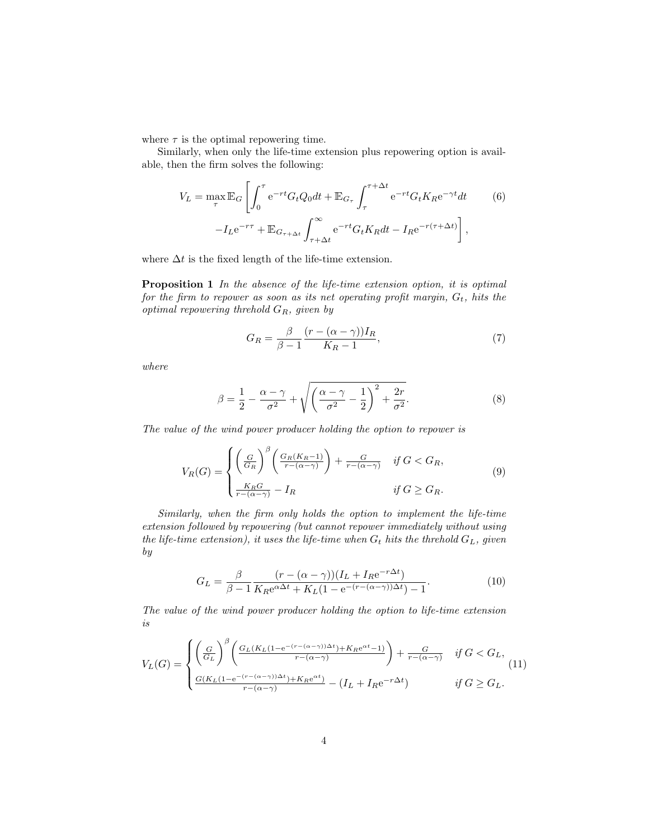where  $\tau$  is the optimal repowering time.

Similarly, when only the life-time extension plus repowering option is available, then the firm solves the following:

$$
V_L = \max_{\tau} \mathbb{E}_G \left[ \int_0^{\tau} e^{-rt} G_t Q_0 dt + \mathbb{E}_{G_{\tau}} \int_{\tau}^{\tau + \Delta t} e^{-rt} G_t K_R e^{-\gamma t} dt \right] \tag{6}
$$

$$
-I_L e^{-r\tau} + \mathbb{E}_{G_{\tau + \Delta t}} \int_{\tau + \Delta t}^{\infty} e^{-rt} G_t K_R dt - I_R e^{-r(\tau + \Delta t)} \right],
$$

where  $\Delta t$  is the fixed length of the life-time extension.

Proposition 1 In the absence of the life-time extension option, it is optimal for the firm to repower as soon as its net operating profit margin,  $G_t$ , hits the optimal repowering threhold  $G_R$ , given by

$$
G_R = \frac{\beta}{\beta - 1} \frac{(r - (\alpha - \gamma))I_R}{K_R - 1},\tag{7}
$$

where

$$
\beta = \frac{1}{2} - \frac{\alpha - \gamma}{\sigma^2} + \sqrt{\left(\frac{\alpha - \gamma}{\sigma^2} - \frac{1}{2}\right)^2 + \frac{2r}{\sigma^2}}.
$$
\n(8)

The value of the wind power producer holding the option to repower is

$$
V_R(G) = \begin{cases} \left(\frac{G}{G_R}\right)^{\beta} \left(\frac{G_R(K_R - 1)}{r - (\alpha - \gamma)}\right) + \frac{G}{r - (\alpha - \gamma)} & \text{if } G < G_R, \\ \frac{K_R G}{r - (\alpha - \gamma)} - I_R & \text{if } G \geq G_R. \end{cases} \tag{9}
$$

Similarly, when the firm only holds the option to implement the life-time extension followed by repowering (but cannot repower immediately without using the life-time extension), it uses the life-time when  $G_t$  hits the threhold  $G_L$ , given by

$$
G_L = \frac{\beta}{\beta - 1} \frac{(r - (\alpha - \gamma))(I_L + I_R e^{-r\Delta t})}{K_R e^{\alpha \Delta t} + K_L (1 - e^{-(r - (\alpha - \gamma))\Delta t}) - 1}.
$$
(10)

The value of the wind power producer holding the option to life-time extension is

$$
V_L(G) = \begin{cases} \left(\frac{G}{G_L}\right)^{\beta} \left(\frac{G_L(K_L(1 - e^{-(r - (\alpha - \gamma))\Delta t}) + K_R e^{\alpha t} - 1)}{r - (\alpha - \gamma)}\right) + \frac{G}{r - (\alpha - \gamma)} & \text{if } G < G_L, \\ \frac{G(K_L(1 - e^{-(r - (\alpha - \gamma))\Delta t}) + K_R e^{\alpha t}}{r - (\alpha - \gamma)} - (I_L + I_R e^{-r\Delta t}) & \text{if } G \ge G_L. \end{cases}
$$
(11)